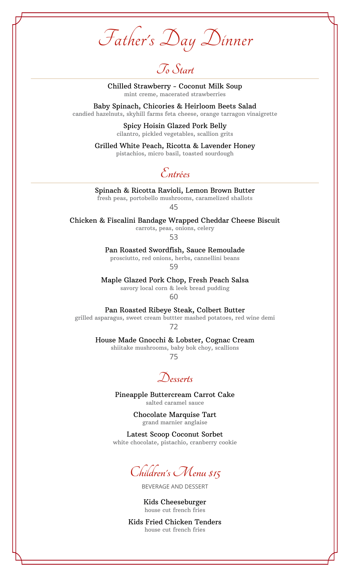Father's Day Dinner

**To Start**

Chilled Strawberry - Coconut Milk Soup mint creme, macerated strawberries

Baby Spinach, Chicories & Heirloom Beets Salad candied hazelnuts, skyhill farms feta cheese, orange tarragon vinaigrette

> Spicy Hoisin Glazed Pork Belly cilantro, pickled vegetables, scallion grits

Grilled White Peach, Ricotta & Lavender Honey pistachios, micro basil, toasted sourdough

**Entrées**

Spinach & Ricotta Ravioli, Lemon Brown Butter fresh peas, portobello mushrooms, caramelized shallots

45

Chicken & Fiscalini Bandage Wrapped Cheddar Cheese Biscuit

carrots, peas, onions, celery 53

# Pan Roasted Swordfish, Sauce Remoulade

prosciutto, red onions, herbs, cannellini beans

59

Maple Glazed Pork Chop, Fresh Peach Salsa savory local corn & leek bread pudding

60

## Pan Roasted Ribeye Steak, Colbert Butter

grilled asparagus, sweet cream buttter mashed potatoes, red wine demi

72

House Made Gnocchi & Lobster, Cognac Cream

shiitake mushrooms, baby bok choy, scallions

75

**Desserts**

Pineapple Buttercream Carrot Cake salted caramel sauce

> Chocolate Marquise Tart grand marnier anglaise

Latest Scoop Coconut Sorbet white chocolate, pistachio, cranberry cookie

**Children's Menu \$15**

BEVERAGE AND DESSERT

Kids Cheeseburger house cut french fries

Kids Fried Chicken Tenders house cut french fries